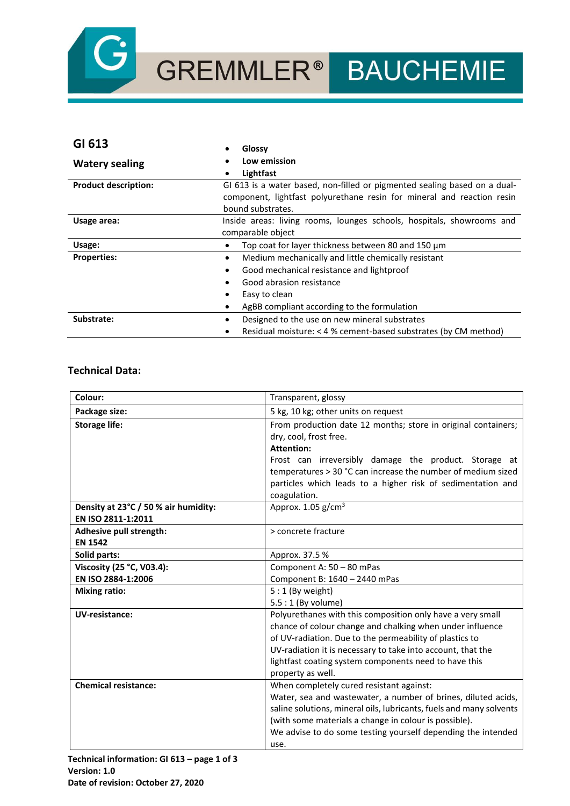

GREMMLER<sup>®</sup> BAUCHEMIE

| GI 613                      | Glossy                                                                    |
|-----------------------------|---------------------------------------------------------------------------|
| <b>Watery sealing</b>       | Low emission<br>٠                                                         |
|                             | Lightfast<br>٠                                                            |
| <b>Product description:</b> | GI 613 is a water based, non-filled or pigmented sealing based on a dual- |
|                             | component, lightfast polyurethane resin for mineral and reaction resin    |
|                             | bound substrates.                                                         |
| Usage area:                 | Inside areas: living rooms, lounges schools, hospitals, showrooms and     |
|                             | comparable object                                                         |
| Usage:                      | Top coat for layer thickness between 80 and 150 um<br>٠                   |
| <b>Properties:</b>          | Medium mechanically and little chemically resistant<br>$\bullet$          |
|                             | Good mechanical resistance and lightproof<br>٠                            |
|                             | Good abrasion resistance<br>٠                                             |
|                             | Easy to clean<br>٠                                                        |
|                             | AgBB compliant according to the formulation<br>٠                          |
| Substrate:                  | Designed to the use on new mineral substrates<br>٠                        |
|                             | Residual moisture: < 4 % cement-based substrates (by CM method)<br>٠      |

## **Technical Data:**

| Colour:                                                    | Transparent, glossy                                                                                                                                                                                                                                                                                                             |
|------------------------------------------------------------|---------------------------------------------------------------------------------------------------------------------------------------------------------------------------------------------------------------------------------------------------------------------------------------------------------------------------------|
| Package size:                                              | 5 kg, 10 kg; other units on request                                                                                                                                                                                                                                                                                             |
| <b>Storage life:</b>                                       | From production date 12 months; store in original containers;<br>dry, cool, frost free.<br><b>Attention:</b><br>Frost can irreversibly damage the product. Storage at                                                                                                                                                           |
|                                                            | temperatures > 30 °C can increase the number of medium sized<br>particles which leads to a higher risk of sedimentation and<br>coagulation.                                                                                                                                                                                     |
| Density at 23°C / 50 % air humidity:<br>EN ISO 2811-1:2011 | Approx. $1.05$ g/cm <sup>3</sup>                                                                                                                                                                                                                                                                                                |
| Adhesive pull strength:<br><b>EN 1542</b>                  | > concrete fracture                                                                                                                                                                                                                                                                                                             |
| Solid parts:                                               | Approx. 37.5 %                                                                                                                                                                                                                                                                                                                  |
| Viscosity (25 °C, V03.4):                                  | Component A: 50 - 80 mPas                                                                                                                                                                                                                                                                                                       |
| EN ISO 2884-1:2006                                         | Component B: 1640 - 2440 mPas                                                                                                                                                                                                                                                                                                   |
| <b>Mixing ratio:</b>                                       | $5:1$ (By weight)<br>5.5: 1 (By volume)                                                                                                                                                                                                                                                                                         |
| UV-resistance:                                             | Polyurethanes with this composition only have a very small<br>chance of colour change and chalking when under influence<br>of UV-radiation. Due to the permeability of plastics to<br>UV-radiation it is necessary to take into account, that the<br>lightfast coating system components need to have this<br>property as well. |
| <b>Chemical resistance:</b>                                | When completely cured resistant against:<br>Water, sea and wastewater, a number of brines, diluted acids,<br>saline solutions, mineral oils, lubricants, fuels and many solvents<br>(with some materials a change in colour is possible).<br>We advise to do some testing yourself depending the intended<br>use.               |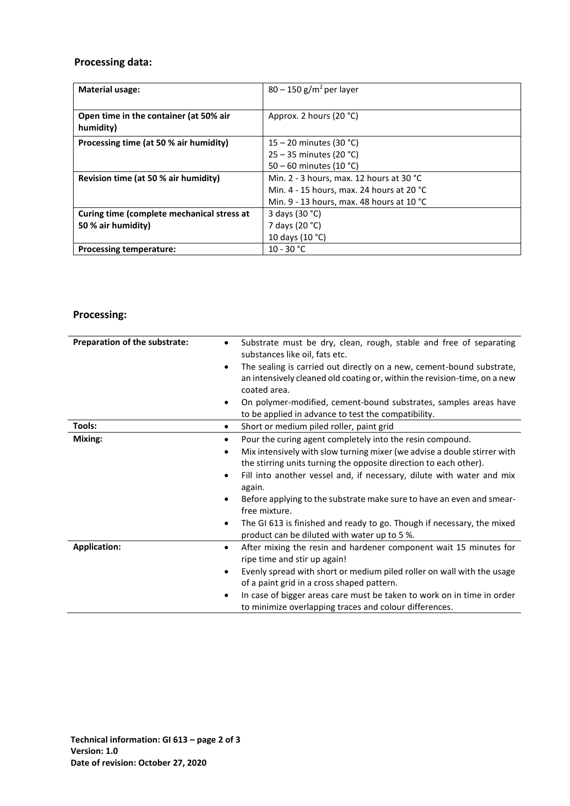# **Processing data:**

| <b>Material usage:</b>                     | $80 - 150$ g/m <sup>2</sup> per layer               |
|--------------------------------------------|-----------------------------------------------------|
|                                            |                                                     |
|                                            |                                                     |
| Open time in the container (at 50% air     | Approx. 2 hours (20 °C)                             |
| humidity)                                  |                                                     |
|                                            |                                                     |
| Processing time (at 50 % air humidity)     | $15 - 20$ minutes (30 °C)                           |
|                                            | $25 - 35$ minutes (20 °C)                           |
|                                            | 50 – 60 minutes (10 °C)                             |
| Revision time (at 50 % air humidity)       | Min. 2 - 3 hours, max. 12 hours at 30 °C            |
|                                            | Min. 4 - 15 hours, max. 24 hours at 20 $^{\circ}$ C |
|                                            | Min. 9 - 13 hours, max. 48 hours at 10 $^{\circ}$ C |
| Curing time (complete mechanical stress at | 3 days (30 °C)                                      |
| 50 % air humidity)                         | 7 days (20 °C)                                      |
|                                            | 10 days (10 °C)                                     |
| <b>Processing temperature:</b>             | $10 - 30 °C$                                        |

# **Processing:**

| Preparation of the substrate: | Substrate must be dry, clean, rough, stable and free of separating<br>$\bullet$<br>substances like oil, fats etc.                                                                                                                                                                                                                                                                                                                                                                                                                             |
|-------------------------------|-----------------------------------------------------------------------------------------------------------------------------------------------------------------------------------------------------------------------------------------------------------------------------------------------------------------------------------------------------------------------------------------------------------------------------------------------------------------------------------------------------------------------------------------------|
|                               | The sealing is carried out directly on a new, cement-bound substrate,<br>٠<br>an intensively cleaned old coating or, within the revision-time, on a new<br>coated area.                                                                                                                                                                                                                                                                                                                                                                       |
|                               | On polymer-modified, cement-bound substrates, samples areas have<br>$\bullet$<br>to be applied in advance to test the compatibility.                                                                                                                                                                                                                                                                                                                                                                                                          |
| Tools:                        | Short or medium piled roller, paint grid<br>$\bullet$                                                                                                                                                                                                                                                                                                                                                                                                                                                                                         |
| Mixing:                       | Pour the curing agent completely into the resin compound.<br>٠<br>Mix intensively with slow turning mixer (we advise a double stirrer with<br>$\bullet$<br>the stirring units turning the opposite direction to each other).<br>Fill into another vessel and, if necessary, dilute with water and mix<br>٠<br>again.<br>Before applying to the substrate make sure to have an even and smear-<br>free mixture.<br>The GI 613 is finished and ready to go. Though if necessary, the mixed<br>٠<br>product can be diluted with water up to 5 %. |
| <b>Application:</b>           | After mixing the resin and hardener component wait 15 minutes for<br>$\bullet$<br>ripe time and stir up again!<br>Evenly spread with short or medium piled roller on wall with the usage<br>$\bullet$<br>of a paint grid in a cross shaped pattern.<br>In case of bigger areas care must be taken to work on in time in order<br>٠<br>to minimize overlapping traces and colour differences.                                                                                                                                                  |